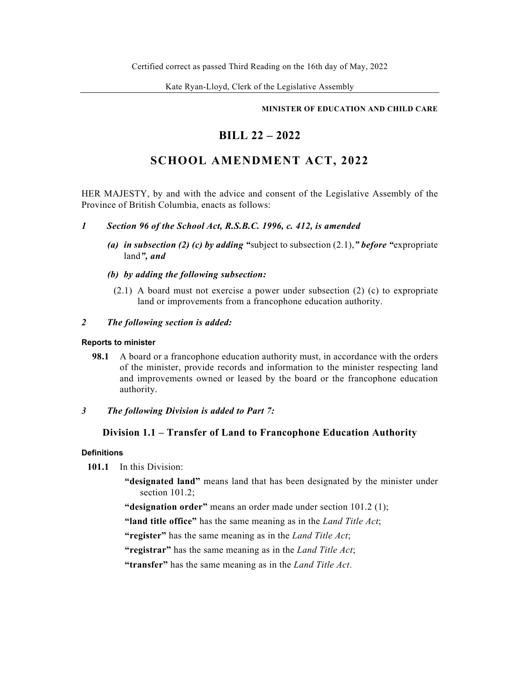## **MINISTER OF EDUCATION AND CHILD CARE**

# **BILL 22 – 2022**

# **SCHOOL AMENDMENT ACT, 2022**

HER MAJESTY, by and with the advice and consent of the Legislative Assembly of the Province of British Columbia, enacts as follows:

- *1 Section 96 of the School Act, R.S.B.C. 1996, c. 412, is amended* 
	- *(a) in subsection (2) (c) by adding "*subject to subsection (2.1),*" before "*expropriate land*", and*
	- *(b) by adding the following subsection:* 
		- (2.1) A board must not exercise a power under subsection (2) (c) to expropriate land or improvements from a francophone education authority.

# *2 The following section is added:*

## **Reports to minister**

**98.1** A board or a francophone education authority must, in accordance with the orders of the minister, provide records and information to the minister respecting land and improvements owned or leased by the board or the francophone education authority.

# *3 The following Division is added to Part 7:*

# **Division 1.1 – Transfer of Land to Francophone Education Authority**

## **Definitions**

- **101.1** In this Division:
	- **"designated land"** means land that has been designated by the minister under section 101.2:

**"designation order"** means an order made under section 101.2 (1);

**"land title office"** has the same meaning as in the *Land Title Act*;

**"register"** has the same meaning as in the *Land Title Act*;

**"registrar"** has the same meaning as in the *Land Title Act*;

**"transfer"** has the same meaning as in the *Land Title Act*.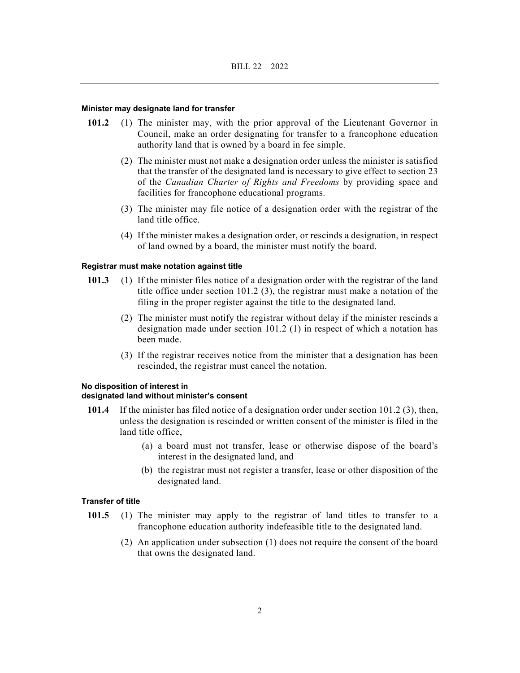#### **Minister may designate land for transfer**

- **101.2** (1) The minister may, with the prior approval of the Lieutenant Governor in Council, make an order designating for transfer to a francophone education authority land that is owned by a board in fee simple.
	- (2) The minister must not make a designation order unless the minister is satisfied that the transfer of the designated land is necessary to give effect to section 23 of the *Canadian Charter of Rights and Freedoms* by providing space and facilities for francophone educational programs.
	- (3) The minister may file notice of a designation order with the registrar of the land title office.
	- (4) If the minister makes a designation order, or rescinds a designation, in respect of land owned by a board, the minister must notify the board.

### **Registrar must make notation against title**

- **101.3** (1) If the minister files notice of a designation order with the registrar of the land title office under section 101.2 (3), the registrar must make a notation of the filing in the proper register against the title to the designated land.
	- (2) The minister must notify the registrar without delay if the minister rescinds a designation made under section 101.2 (1) in respect of which a notation has been made.
	- (3) If the registrar receives notice from the minister that a designation has been rescinded, the registrar must cancel the notation.

#### **No disposition of interest in**

## **designated land without minister's consent**

- **101.4** If the minister has filed notice of a designation order under section 101.2 (3), then, unless the designation is rescinded or written consent of the minister is filed in the land title office,
	- (a) a board must not transfer, lease or otherwise dispose of the board's interest in the designated land, and
	- (b) the registrar must not register a transfer, lease or other disposition of the designated land.

## **Transfer of title**

- **101.5** (1) The minister may apply to the registrar of land titles to transfer to a francophone education authority indefeasible title to the designated land.
	- (2) An application under subsection (1) does not require the consent of the board that owns the designated land.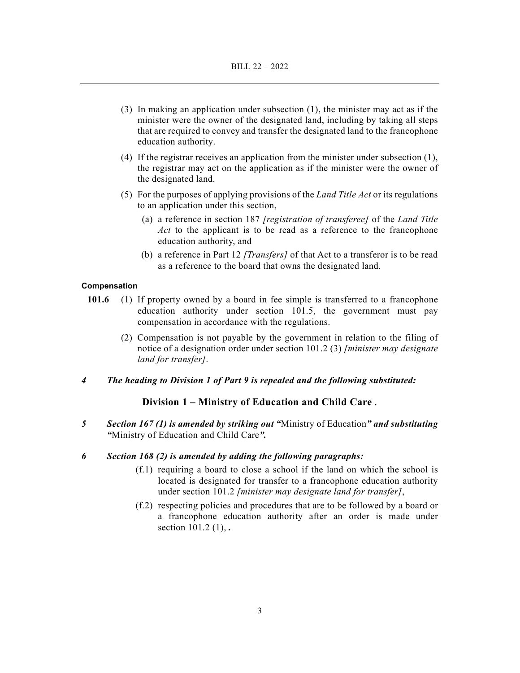- (3) In making an application under subsection (1), the minister may act as if the minister were the owner of the designated land, including by taking all steps that are required to convey and transfer the designated land to the francophone education authority.
- (4) If the registrar receives an application from the minister under subsection (1), the registrar may act on the application as if the minister were the owner of the designated land.
- (5) For the purposes of applying provisions of the *Land Title Act* or its regulations to an application under this section,
	- (a) a reference in section 187 *[registration of transferee]* of the *Land Title Act* to the applicant is to be read as a reference to the francophone education authority, and
	- (b) a reference in Part 12 *[Transfers]* of that Act to a transferor is to be read as a reference to the board that owns the designated land.

#### **Compensation**

- **101.6** (1) If property owned by a board in fee simple is transferred to a francophone education authority under section 101.5, the government must pay compensation in accordance with the regulations.
	- (2) Compensation is not payable by the government in relation to the filing of notice of a designation order under section 101.2 (3) *[minister may designate land for transfer]*.
- *4 The heading to Division 1 of Part 9 is repealed and the following substituted:*

# **Division 1 – Ministry of Education and Child Care** *.*

- *5 Section 167 (1) is amended by striking out "*Ministry of Education*" and substituting "*Ministry of Education and Child Care*".*
- *6 Section 168 (2) is amended by adding the following paragraphs:* 
	- (f.1) requiring a board to close a school if the land on which the school is located is designated for transfer to a francophone education authority under section 101.2 *[minister may designate land for transfer]*,
	- (f.2) respecting policies and procedures that are to be followed by a board or a francophone education authority after an order is made under section 101.2 (1), *.*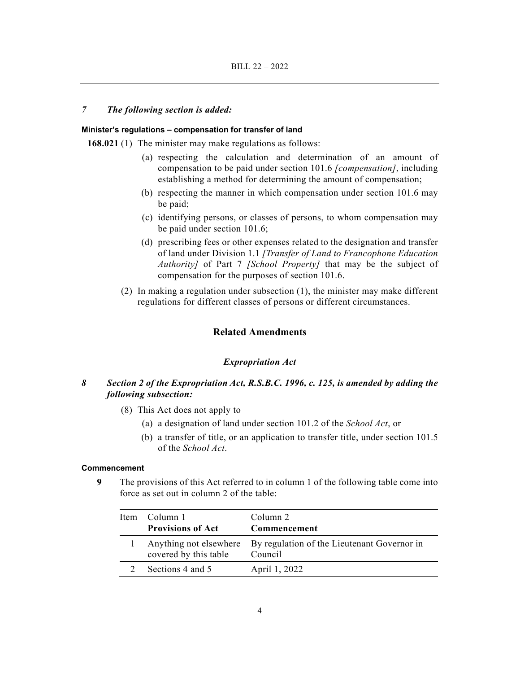## *7 The following section is added:*

#### **Minister's regulations – compensation for transfer of land**

**168.021** (1) The minister may make regulations as follows:

- (a) respecting the calculation and determination of an amount of compensation to be paid under section 101.6 *[compensation]*, including establishing a method for determining the amount of compensation;
- (b) respecting the manner in which compensation under section 101.6 may be paid;
- (c) identifying persons, or classes of persons, to whom compensation may be paid under section 101.6;
- (d) prescribing fees or other expenses related to the designation and transfer of land under Division 1.1 *[Transfer of Land to Francophone Education Authority]* of Part 7 *[School Property]* that may be the subject of compensation for the purposes of section 101.6.
- (2) In making a regulation under subsection (1), the minister may make different regulations for different classes of persons or different circumstances.

# **Related Amendments**

## *Expropriation Act*

- *8 Section 2 of the Expropriation Act, R.S.B.C. 1996, c. 125, is amended by adding the following subsection:* 
	- (8) This Act does not apply to
		- (a) a designation of land under section 101.2 of the *School Act*, or
		- (b) a transfer of title, or an application to transfer title, under section 101.5 of the *School Act*.

### **Commencement**

**9** The provisions of this Act referred to in column 1 of the following table come into force as set out in column 2 of the table:

| Item Column 1<br><b>Provisions of Act</b> | Column 2<br>Commencement                                                      |
|-------------------------------------------|-------------------------------------------------------------------------------|
| covered by this table                     | Anything not elsewhere By regulation of the Lieutenant Governor in<br>Council |
| Sections 4 and 5                          | April 1, 2022                                                                 |